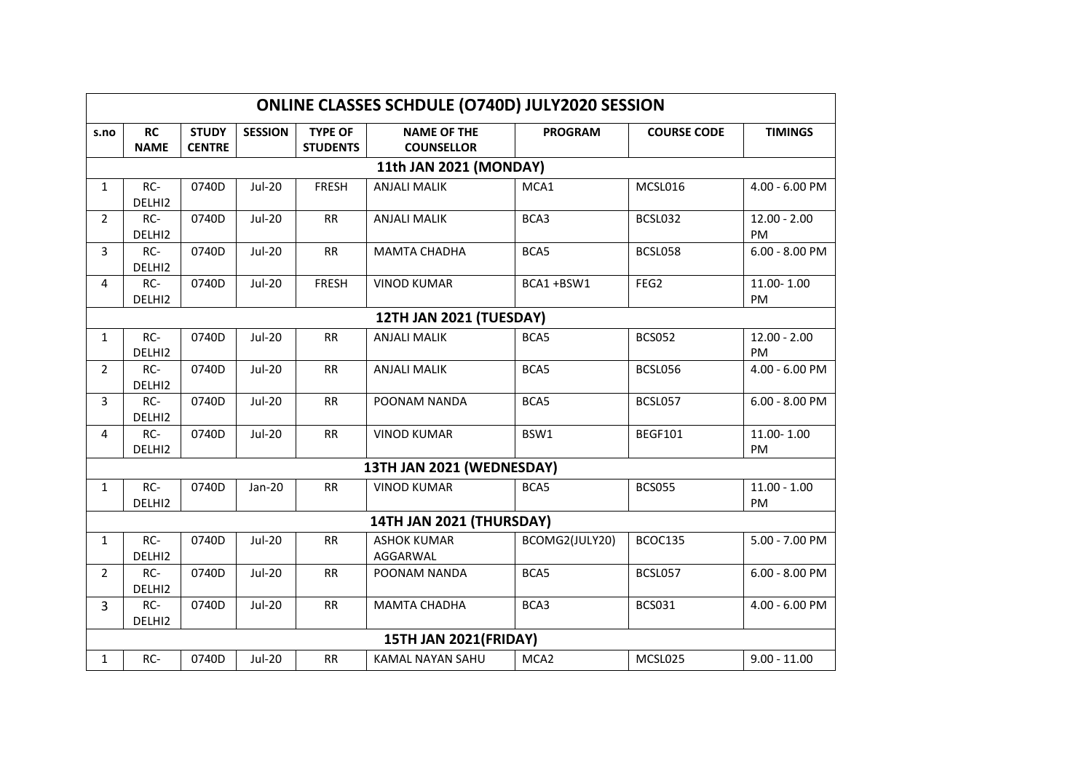| ONLINE CLASSES SCHDULE (O740D) JULY2020 SESSION |                          |                               |                |                                   |                                         |                  |                    |                             |  |  |
|-------------------------------------------------|--------------------------|-------------------------------|----------------|-----------------------------------|-----------------------------------------|------------------|--------------------|-----------------------------|--|--|
| s.no                                            | <b>RC</b><br><b>NAME</b> | <b>STUDY</b><br><b>CENTRE</b> | <b>SESSION</b> | <b>TYPE OF</b><br><b>STUDENTS</b> | <b>NAME OF THE</b><br><b>COUNSELLOR</b> | <b>PROGRAM</b>   | <b>COURSE CODE</b> | <b>TIMINGS</b>              |  |  |
|                                                 | 11th JAN 2021 (MONDAY)   |                               |                |                                   |                                         |                  |                    |                             |  |  |
| $\mathbf{1}$                                    | RC-<br>DELHI2            | 0740D                         | <b>Jul-20</b>  | <b>FRESH</b>                      | <b>ANJALI MALIK</b>                     | MCA1             | MCSL016            | 4.00 - 6.00 PM              |  |  |
| $\overline{2}$                                  | RC-<br>DELHI2            | 0740D                         | <b>Jul-20</b>  | <b>RR</b>                         | <b>ANJALI MALIK</b>                     | BCA3             | BCSL032            | $12.00 - 2.00$<br><b>PM</b> |  |  |
| 3                                               | RC-<br>DELHI2            | 0740D                         | <b>Jul-20</b>  | <b>RR</b>                         | <b>MAMTA CHADHA</b>                     | BCA5             | BCSL058            | $6.00 - 8.00$ PM            |  |  |
| 4                                               | RC-<br>DELHI2            | 0740D                         | <b>Jul-20</b>  | <b>FRESH</b>                      | <b>VINOD KUMAR</b>                      | BCA1+BSW1        | FEG <sub>2</sub>   | 11.00-1.00<br>PM            |  |  |
| 12TH JAN 2021 (TUESDAY)                         |                          |                               |                |                                   |                                         |                  |                    |                             |  |  |
| $\mathbf{1}$                                    | RC-<br>DELHI2            | 0740D                         | <b>Jul-20</b>  | <b>RR</b>                         | <b>ANJALI MALIK</b>                     | BCA5             | <b>BCS052</b>      | $12.00 - 2.00$<br>PM        |  |  |
| $\overline{2}$                                  | RC-<br>DELHI2            | 0740D                         | <b>Jul-20</b>  | <b>RR</b>                         | <b>ANJALI MALIK</b>                     | BCA5             | BCSL056            | 4.00 - 6.00 PM              |  |  |
| 3                                               | RC-<br>DELHI2            | 0740D                         | <b>Jul-20</b>  | <b>RR</b>                         | POONAM NANDA                            | BCA5             | BCSL057            | $6.00 - 8.00$ PM            |  |  |
| 4                                               | RC-<br>DELHI2            | 0740D                         | <b>Jul-20</b>  | <b>RR</b>                         | <b>VINOD KUMAR</b>                      | BSW1             | BEGF101            | 11.00-1.00<br>PM            |  |  |
| 13TH JAN 2021 (WEDNESDAY)                       |                          |                               |                |                                   |                                         |                  |                    |                             |  |  |
| $\mathbf{1}$                                    | RC-<br>DELHI2            | 0740D                         | $Jan-20$       | <b>RR</b>                         | <b>VINOD KUMAR</b>                      | BCA5             | <b>BCS055</b>      | $11.00 - 1.00$<br>PM        |  |  |
| 14TH JAN 2021 (THURSDAY)                        |                          |                               |                |                                   |                                         |                  |                    |                             |  |  |
| $\mathbf{1}$                                    | RC-<br>DELHI2            | 0740D                         | <b>Jul-20</b>  | <b>RR</b>                         | <b>ASHOK KUMAR</b><br>AGGARWAL          | BCOMG2(JULY20)   | BCOC135            | 5.00 - 7.00 PM              |  |  |
| $\overline{2}$                                  | RC-<br>DELHI2            | 0740D                         | <b>Jul-20</b>  | <b>RR</b>                         | POONAM NANDA                            | BCA5             | BCSL057            | $6.00 - 8.00$ PM            |  |  |
| 3                                               | RC-<br>DELHI2            | 0740D                         | <b>Jul-20</b>  | <b>RR</b>                         | <b>MAMTA CHADHA</b>                     | BCA3             | <b>BCS031</b>      | 4.00 - 6.00 PM              |  |  |
| 15TH JAN 2021(FRIDAY)                           |                          |                               |                |                                   |                                         |                  |                    |                             |  |  |
| $\mathbf{1}$                                    | RC-                      | 0740D                         | <b>Jul-20</b>  | <b>RR</b>                         | KAMAL NAYAN SAHU                        | MCA <sub>2</sub> | MCSL025            | $9.00 - 11.00$              |  |  |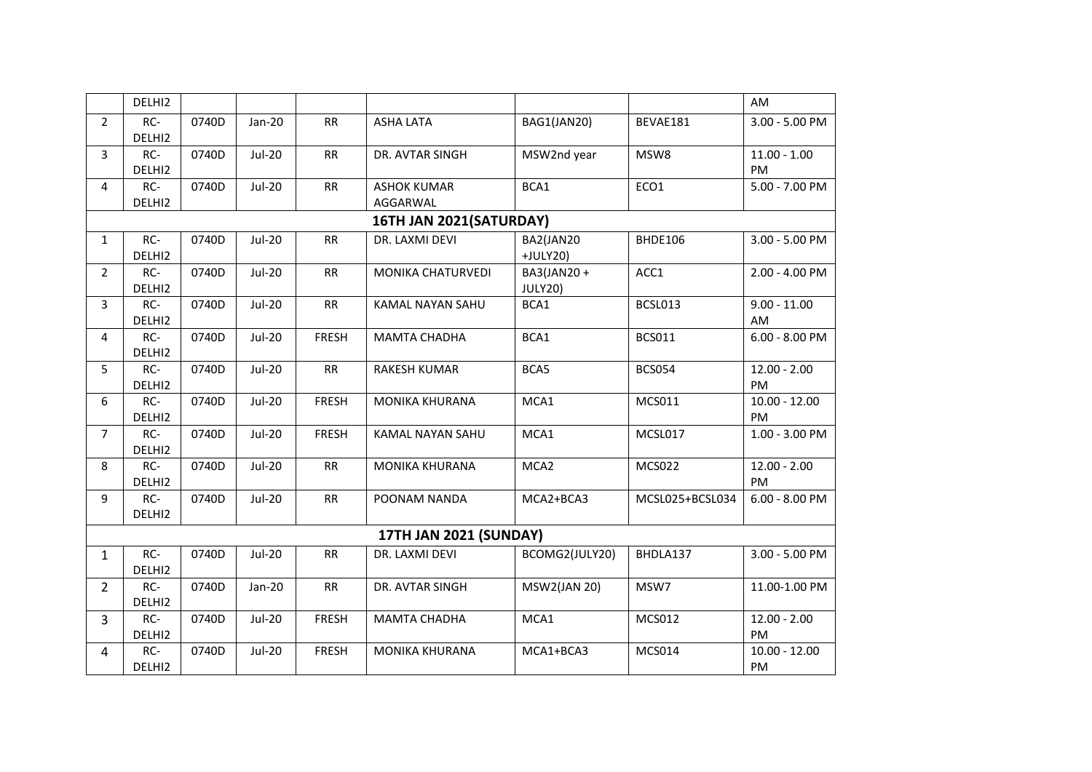|                        | DELHI2                  |       |               |              |                                |                       |                 | AM                    |  |  |  |
|------------------------|-------------------------|-------|---------------|--------------|--------------------------------|-----------------------|-----------------|-----------------------|--|--|--|
| $\overline{2}$         | RC-<br>DELHI2           | 0740D | Jan-20        | <b>RR</b>    | <b>ASHA LATA</b>               | BAG1(JAN20)           | BEVAE181        | 3.00 - 5.00 PM        |  |  |  |
| 3                      | RC-<br>DELHI2           | 0740D | <b>Jul-20</b> | RR           | DR. AVTAR SINGH                | MSW2nd year           | MSW8            | $11.00 - 1.00$<br>PM  |  |  |  |
| 4                      | RC-<br>DELHI2           | 0740D | <b>Jul-20</b> | <b>RR</b>    | <b>ASHOK KUMAR</b><br>AGGARWAL | BCA1                  | ECO1            | 5.00 - 7.00 PM        |  |  |  |
|                        | 16TH JAN 2021(SATURDAY) |       |               |              |                                |                       |                 |                       |  |  |  |
| $\mathbf{1}$           | RC-<br>DELHI2           | 0740D | <b>Jul-20</b> | <b>RR</b>    | DR. LAXMI DEVI                 | BA2(JAN20<br>+JULY20) | BHDE106         | 3.00 - 5.00 PM        |  |  |  |
| $\overline{2}$         | RC-<br>DELHI2           | 0740D | <b>Jul-20</b> | <b>RR</b>    | <b>MONIKA CHATURVEDI</b>       | BA3(JAN20+<br>JULY20) | ACC1            | 2.00 - 4.00 PM        |  |  |  |
| 3                      | RC-<br>DELHI2           | 0740D | $Jul-20$      | RR           | KAMAL NAYAN SAHU               | BCA1                  | BCSL013         | $9.00 - 11.00$<br>AM  |  |  |  |
| 4                      | RC-<br>DELHI2           | 0740D | <b>Jul-20</b> | <b>FRESH</b> | <b>MAMTA CHADHA</b>            | BCA1                  | <b>BCS011</b>   | $6.00 - 8.00$ PM      |  |  |  |
| 5                      | RC-<br>DELHI2           | 0740D | <b>Jul-20</b> | RR           | <b>RAKESH KUMAR</b>            | BCA5                  | <b>BCS054</b>   | $12.00 - 2.00$<br>PM  |  |  |  |
| 6                      | RC-<br>DELHI2           | 0740D | <b>Jul-20</b> | <b>FRESH</b> | <b>MONIKA KHURANA</b>          | MCA1                  | MCS011          | $10.00 - 12.00$<br>PM |  |  |  |
| $\overline{7}$         | RC-<br>DELHI2           | 0740D | <b>Jul-20</b> | <b>FRESH</b> | <b>KAMAL NAYAN SAHU</b>        | MCA1                  | MCSL017         | 1.00 - 3.00 PM        |  |  |  |
| 8                      | RC-<br>DELHI2           | 0740D | $Jul-20$      | RR           | <b>MONIKA KHURANA</b>          | MCA <sub>2</sub>      | <b>MCS022</b>   | $12.00 - 2.00$<br>PM  |  |  |  |
| 9                      | RC-<br>DELHI2           | 0740D | <b>Jul-20</b> | RR           | POONAM NANDA                   | MCA2+BCA3             | MCSL025+BCSL034 | $6.00 - 8.00$ PM      |  |  |  |
| 17TH JAN 2021 (SUNDAY) |                         |       |               |              |                                |                       |                 |                       |  |  |  |
| $\mathbf{1}$           | RC-<br>DELHI2           | 0740D | <b>Jul-20</b> | RR           | DR. LAXMI DEVI                 | BCOMG2(JULY20)        | BHDLA137        | 3.00 - 5.00 PM        |  |  |  |
| $\overline{2}$         | RC-<br>DELHI2           | 0740D | Jan-20        | RR           | DR. AVTAR SINGH                | <b>MSW2(JAN 20)</b>   | MSW7            | 11.00-1.00 PM         |  |  |  |
| $\overline{3}$         | RC-<br>DELHI2           | 0740D | <b>Jul-20</b> | <b>FRESH</b> | <b>MAMTA CHADHA</b>            | MCA1                  | <b>MCS012</b>   | $12.00 - 2.00$<br>PM  |  |  |  |
| 4                      | RC-<br>DELHI2           | 0740D | <b>Jul-20</b> | <b>FRESH</b> | <b>MONIKA KHURANA</b>          | MCA1+BCA3             | <b>MCS014</b>   | $10.00 - 12.00$<br>PM |  |  |  |